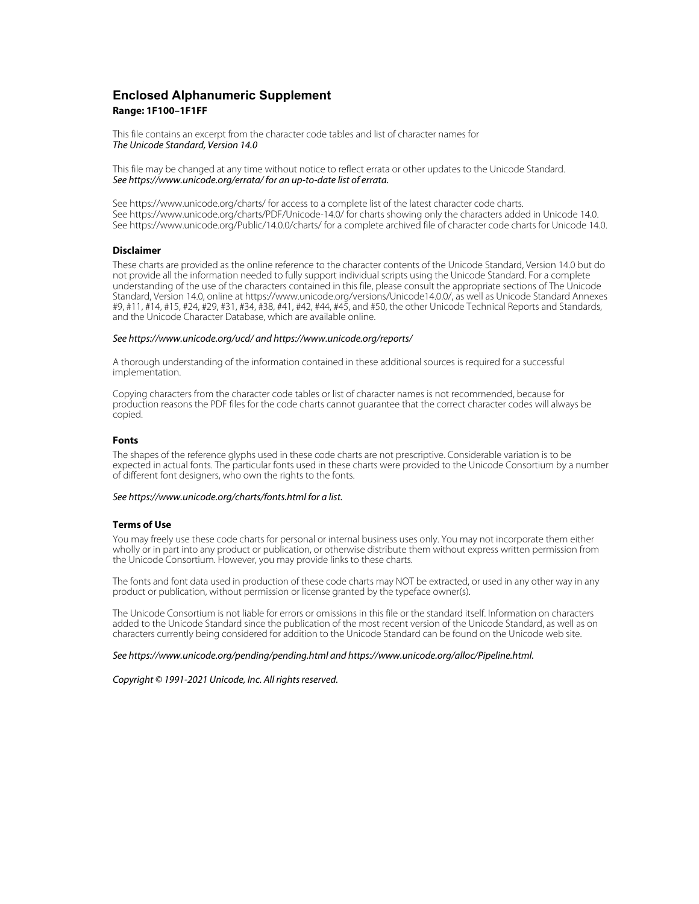# **Enclosed Alphanumeric Supplement Range: 1F100–1F1FF**

This file contains an excerpt from the character code tables and list of character names for The Unicode Standard, Version 14.0

This file may be changed at any time without notice to reflect errata or other updates to the Unicode Standard. See https://www.unicode.org/errata/ for an up-to-date list of errata.

See https://www.unicode.org/charts/ for access to a complete list of the latest character code charts. See https://www.unicode.org/charts/PDF/Unicode-14.0/ for charts showing only the characters added in Unicode 14.0. See https://www.unicode.org/Public/14.0.0/charts/ for a complete archived file of character code charts for Unicode 14.0.

# **Disclaimer**

These charts are provided as the online reference to the character contents of the Unicode Standard, Version 14.0 but do not provide all the information needed to fully support individual scripts using the Unicode Standard. For a complete understanding of the use of the characters contained in this file, please consult the appropriate sections of The Unicode Standard, Version 14.0, online at https://www.unicode.org/versions/Unicode14.0.0/, as well as Unicode Standard Annexes #9, #11, #14, #15, #24, #29, #31, #34, #38, #41, #42, #44, #45, and #50, the other Unicode Technical Reports and Standards, and the Unicode Character Database, which are available online.

#### See https://www.unicode.org/ucd/ and https://www.unicode.org/reports/

A thorough understanding of the information contained in these additional sources is required for a successful implementation.

Copying characters from the character code tables or list of character names is not recommended, because for production reasons the PDF files for the code charts cannot guarantee that the correct character codes will always be copied.

#### **Fonts**

The shapes of the reference glyphs used in these code charts are not prescriptive. Considerable variation is to be expected in actual fonts. The particular fonts used in these charts were provided to the Unicode Consortium by a number of different font designers, who own the rights to the fonts.

### See https://www.unicode.org/charts/fonts.html for a list.

#### **Terms of Use**

You may freely use these code charts for personal or internal business uses only. You may not incorporate them either wholly or in part into any product or publication, or otherwise distribute them without express written permission from the Unicode Consortium. However, you may provide links to these charts.

The fonts and font data used in production of these code charts may NOT be extracted, or used in any other way in any product or publication, without permission or license granted by the typeface owner(s).

The Unicode Consortium is not liable for errors or omissions in this file or the standard itself. Information on characters added to the Unicode Standard since the publication of the most recent version of the Unicode Standard, as well as on characters currently being considered for addition to the Unicode Standard can be found on the Unicode web site.

#### See https://www.unicode.org/pending/pending.html and https://www.unicode.org/alloc/Pipeline.html.

Copyright © 1991-2021 Unicode, Inc. All rights reserved.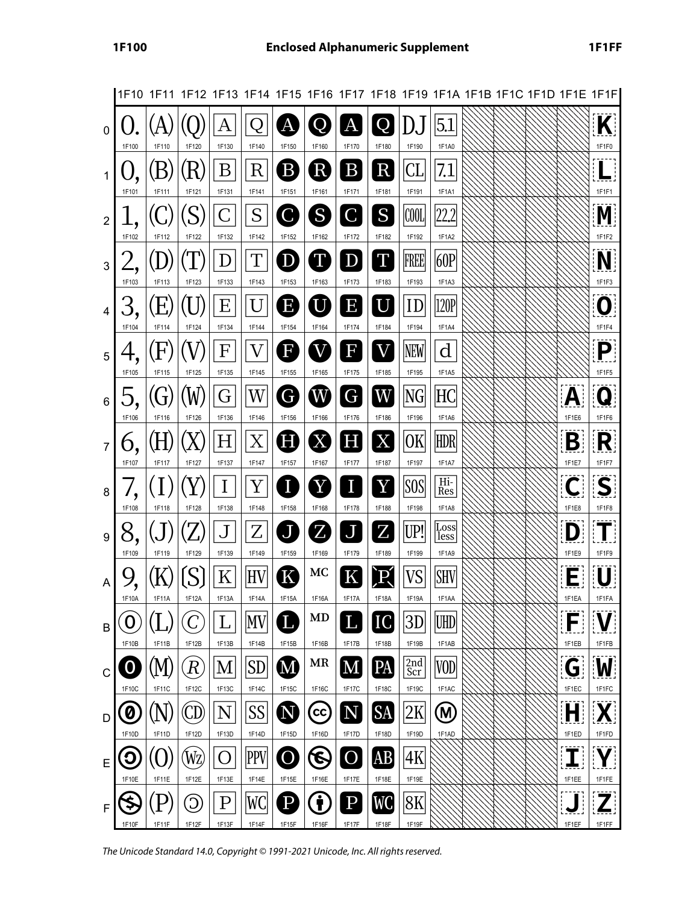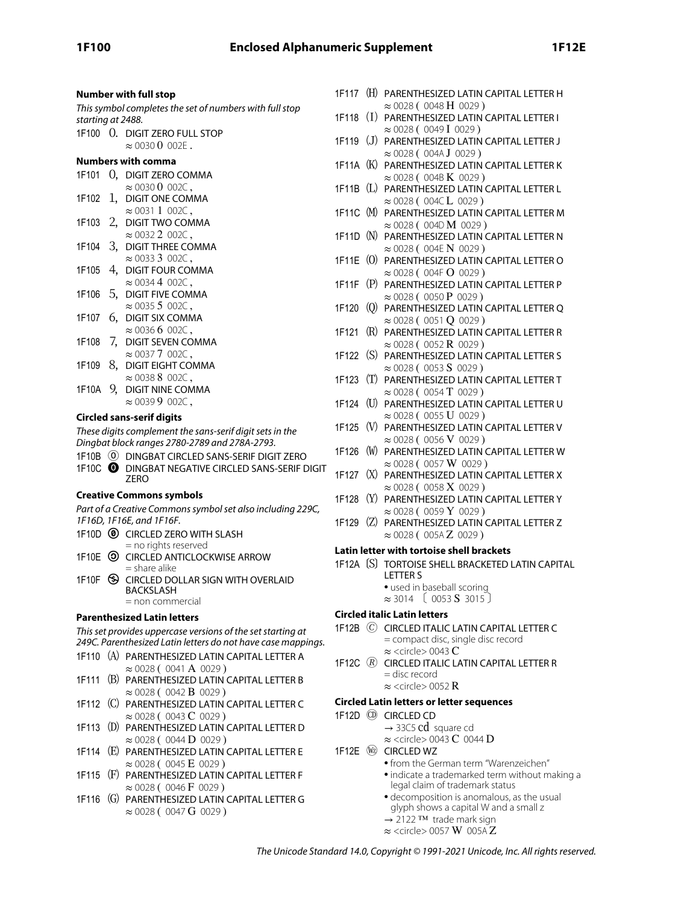| <b>Number with full stop</b>                                                      |  | 1F117 (H) PARENTHESIZED LATIN CAPITAL LETTER H                                         |
|-----------------------------------------------------------------------------------|--|----------------------------------------------------------------------------------------|
| This symbol completes the set of numbers with full stop                           |  | $\approx 0028$ (0048 H 0029)                                                           |
| starting at 2488.                                                                 |  | 1F118 (I) PARENTHESIZED LATIN CAPITAL LETTER I<br>$\approx 0028(0049I0029)$            |
| 1F100 O. DIGIT ZERO FULL STOP                                                     |  | 1F119 (J) PARENTHESIZED LATIN CAPITAL LETTER J                                         |
| $\approx 00300002E$ .                                                             |  | $\approx 0028$ (004A J 0029)                                                           |
| <b>Numbers with comma</b>                                                         |  | 1F11A (K) PARENTHESIZED LATIN CAPITAL LETTER K                                         |
| 1F101 0, DIGIT ZERO COMMA                                                         |  | $\approx 0028$ (004B K 0029)                                                           |
| $\approx 00300002C$ ,                                                             |  | 1F11B (L) PARENTHESIZED LATIN CAPITAL LETTER L                                         |
| 1F102 1, DIGIT ONE COMMA                                                          |  | $\approx 0028$ (004CL 0029)                                                            |
| $\approx 00311002C$ ,<br>1F103 2, DIGIT TWO COMMA                                 |  | 1F11C (M) PARENTHESIZED LATIN CAPITAL LETTER M                                         |
| $\approx 00322002C$ ,                                                             |  | $\approx 0028$ (004D M 0029)<br>1F11D (N) PARENTHESIZED LATIN CAPITAL LETTER N         |
| 1F104 3, DIGIT THREE COMMA                                                        |  | $\approx 0028$ (004E N 0029)                                                           |
| $\approx 003333002C$ ,                                                            |  | 1F11E (0) PARENTHESIZED LATIN CAPITAL LETTER O                                         |
| 1F105 4, DIGIT FOUR COMMA                                                         |  | $\approx 0028$ (004F O 0029)                                                           |
| $\approx 00344002C$ ,                                                             |  | 1F11F (P) PARENTHESIZED LATIN CAPITAL LETTER P                                         |
| 1F106 5, DIGIT FIVE COMMA                                                         |  | $\approx 0028$ (0050 P 0029)                                                           |
| $\approx 00355002C$ ,                                                             |  | 1F120 (Q) PARENTHESIZED LATIN CAPITAL LETTER Q                                         |
| 6, DIGIT SIX COMMA<br>1F107                                                       |  | $\approx 0028$ (0051 Q 0029)                                                           |
| $\approx 00366002C$ ,<br>7, DIGIT SEVEN COMMA<br>1F108                            |  | 1F121 (R) PARENTHESIZED LATIN CAPITAL LETTER R                                         |
| $\approx 00377002C$ ,                                                             |  | $\approx 0028$ ( 0052 <b>R</b> 0029)<br>1F122 (S) PARENTHESIZED LATIN CAPITAL LETTER S |
| 1F109 8, DIGIT EIGHT COMMA                                                        |  | $\approx 0028$ (0053 S 0029)                                                           |
| $\approx 00388002C$ ,                                                             |  | 1F123 (T) PARENTHESIZED LATIN CAPITAL LETTER T                                         |
| 1F10A 9, DIGIT NINE COMMA                                                         |  | $\approx 0028$ (0054 T 0029)                                                           |
| $\approx 003999002C$ ,                                                            |  | 1F124 (U) PARENTHESIZED LATIN CAPITAL LETTER U                                         |
| <b>Circled sans-serif digits</b>                                                  |  | $\approx 0028$ (0055 U 0029)                                                           |
| These digits complement the sans-serif digit sets in the                          |  | 1F125 (V) PARENTHESIZED LATIN CAPITAL LETTER V                                         |
| Dingbat block ranges 2780-2789 and 278A-2793.                                     |  | $\approx 0028$ (0056 V 0029)                                                           |
| 1F10B (0) DINGBAT CIRCLED SANS-SERIF DIGIT ZERO                                   |  | 1F126 (W) PARENTHESIZED LATIN CAPITAL LETTER W                                         |
| 1F10C O DINGBAT NEGATIVE CIRCLED SANS-SERIF DIGIT                                 |  | $\approx 0028 (0057 \,\mathrm{W} 0029)$                                                |
| <b>ZERO</b>                                                                       |  | 1F127 (X) PARENTHESIZED LATIN CAPITAL LETTER X<br>$\approx 0028$ (0058 X 0029)         |
| <b>Creative Commons symbols</b>                                                   |  | 1F128 (Y) PARENTHESIZED LATIN CAPITAL LETTER Y                                         |
| Part of a Creative Commons symbol set also including 229C,                        |  | $\approx 0028 (0059 \text{ Y } 0029)$                                                  |
| 1F16D, 1F16E, and 1F16F.                                                          |  | 1F129 (Z) PARENTHESIZED LATIN CAPITAL LETTER Z                                         |
| 1F10D @ CIRCLED ZERO WITH SLASH                                                   |  | $\approx 0028$ (005A Z 0029)                                                           |
| = no rights reserved                                                              |  | Latin letter with tortoise shell brackets                                              |
| 1F10E <sup>(2)</sup> CIRCLED ANTICLOCKWISE ARROW<br>$=$ share alike               |  | 1F12A (S) TORTOISE SHELL BRACKETED LATIN CAPITAL                                       |
| 1F10F S CIRCLED DOLLAR SIGN WITH OVERLAID                                         |  | LETTER S                                                                               |
| BACKSLASH                                                                         |  | · used in baseball scoring                                                             |
| $=$ non commercial                                                                |  | $\approx$ 3014 ( 0053 <b>S</b> 3015)                                                   |
|                                                                                   |  |                                                                                        |
| <b>Parenthesized Latin letters</b>                                                |  | <b>Circled italic Latin letters</b>                                                    |
| This set provides uppercase versions of the set starting at                       |  | 1F12B © CIRCLED ITALIC LATIN CAPITAL LETTER C                                          |
| 249C. Parenthesized Latin letters do not have case mappings.                      |  | = compact disc, single disc record                                                     |
| 1F110 (A) PARENTHESIZED LATIN CAPITAL LETTER A                                    |  | $\approx$ <circle> 0043 C</circle>                                                     |
| $\approx 0028$ (0041 A 0029)                                                      |  | 1F12C (R) CIRCLED ITALIC LATIN CAPITAL LETTER R                                        |
| 1F111 (B) PARENTHESIZED LATIN CAPITAL LETTER B                                    |  | = disc record                                                                          |
| $\approx 0028$ (0042 <b>B</b> 0029)                                               |  | $\approx$ <circle> 0052 R</circle>                                                     |
| 1F112 (C) PARENTHESIZED LATIN CAPITAL LETTER C                                    |  | <b>Circled Latin letters or letter sequences</b>                                       |
| $\approx 0028$ (0043 C 0029)                                                      |  | 1F12D <sup>(D)</sup> CIRCLED CD                                                        |
| 1F113 (D) PARENTHESIZED LATIN CAPITAL LETTER D                                    |  | $\rightarrow$ 33C5 cd square cd                                                        |
| $\approx 0028$ (0044 D 0029)                                                      |  | $\approx$ <circle> 0043 C 0044 D<br/>1F12E W<sub>2</sub> CIRCLED WZ</circle>           |
| 1F114 (E) PARENTHESIZED LATIN CAPITAL LETTER E<br>$\approx 0028$ (0045 E 0029)    |  | • from the German term "Warenzeichen"                                                  |
| (F) PARENTHESIZED LATIN CAPITAL LETTER F<br>1F115                                 |  | · indicate a trademarked term without making a                                         |
| $\approx 0028$ (0046 F 0029)                                                      |  | legal claim of trademark status                                                        |
| (G) PARENTHESIZED LATIN CAPITAL LETTER G<br>1F116<br>$\approx 0028$ (0047 G 0029) |  | · decomposition is anomalous, as the usual<br>glyph shows a capital W and a small z    |

- → 2122 TM trade mark sign
- $\approx$  <circle> 0057 W 005A $Z$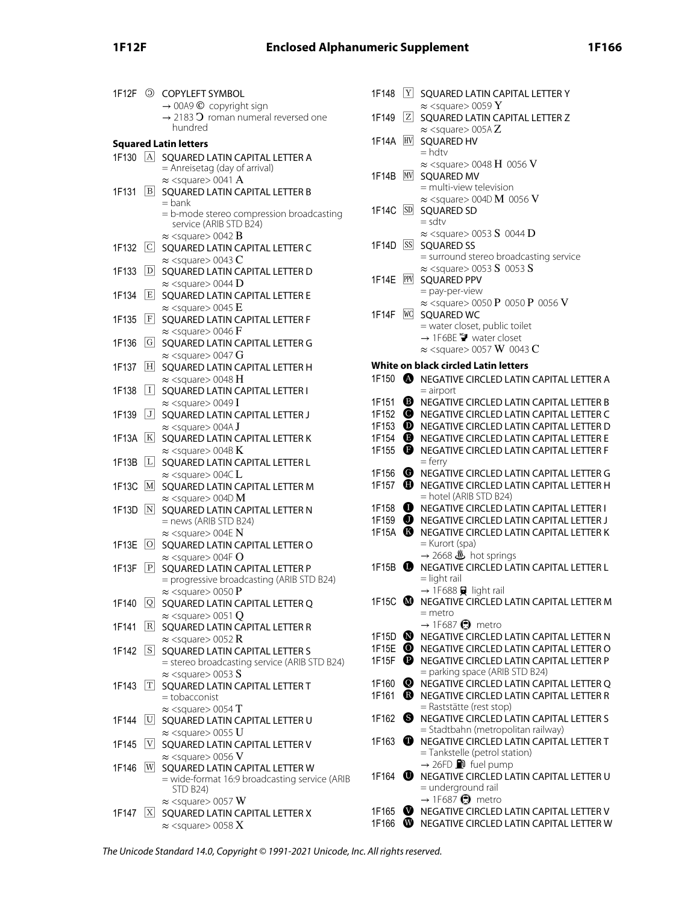|            |                | 1F12F © COPYLEFT SYMBOL                                                                | 1F       |
|------------|----------------|----------------------------------------------------------------------------------------|----------|
|            |                | $\rightarrow$ 00A9 $\odot$ copyright sign                                              |          |
|            |                | $\rightarrow$ 2183 $\textbf{O}$ roman numeral reversed one<br>hundred                  | 1F       |
|            |                | <b>Squared Latin letters</b>                                                           | 1F       |
| $1F130$  A |                | SQUARED LATIN CAPITAL LETTER A                                                         |          |
|            |                | = Anreisetag (day of arrival)                                                          |          |
|            |                | $\approx$ <square> 0041 A</square>                                                     | 1F       |
| 1F131      | B              | SQUARED LATIN CAPITAL LETTER B                                                         |          |
|            |                | = bank<br>= b-mode stereo compression broadcasting                                     | 1F       |
|            |                | service (ARIB STD B24)                                                                 |          |
|            |                | $\approx$ <square> 0042 <math>\rm{B}</math></square>                                   | 1F       |
| 1F132      | C              | SQUARED LATIN CAPITAL LETTER C                                                         |          |
| 1F133      | D              | $\approx$ <square> 0043 C<br/>SQUARED LATIN CAPITAL LETTER D</square>                  |          |
|            |                | $\approx$ <square> 0044 D</square>                                                     | 1F       |
| 1F134      | E              | SQUARED LATIN CAPITAL LETTER E                                                         |          |
|            |                | $\approx$ <square> 0045 E</square>                                                     | 1F       |
| 1F135      | F              | SQUARED LATIN CAPITAL LETTER F<br>$\approx$ <square> 0046 F</square>                   |          |
| 1F136      | G              | SQUARED LATIN CAPITAL LETTER G                                                         |          |
|            |                | $\approx$ <square> 0047 G</square>                                                     |          |
| 1F137      | H              | SQUARED LATIN CAPITAL LETTER H                                                         | W        |
|            | I              | $\approx$ <square> 0048 H</square>                                                     | 1F       |
| 1F138      |                | SQUARED LATIN CAPITAL LETTER I<br>$\approx$ <square> 0049 I</square>                   | 1F       |
| 1F139      | J              | SQUARED LATIN CAPITAL LETTER J                                                         | 1F       |
|            |                | $\approx$ <square> 004A J</square>                                                     | 1F       |
| 1F13A      | $ \mathrm{K} $ | SQUARED LATIN CAPITAL LETTER K                                                         | 1F       |
| 1F13B      | L              | $\approx$ <square> 004B K<br/>SQUARED LATIN CAPITAL LETTER L</square>                  | 1F       |
|            |                | $\approx$ <square> 004C L</square>                                                     | 1F       |
| 1F13C      | M              | SQUARED LATIN CAPITAL LETTER M                                                         | 1F       |
|            |                | $\approx$ <square> 004D M</square>                                                     | 1F       |
| 1F13D      | N              | SQUARED LATIN CAPITAL LETTER N<br>= news (ARIB STD B24)                                | 1F       |
|            |                | $\approx$ <square> 004E N</square>                                                     | 1F       |
| 1F13E      | O              | SQUARED LATIN CAPITAL LETTER O                                                         |          |
|            |                | $\approx$ <square> 004F O</square>                                                     |          |
| 1F13F      | P              | SQUARED LATIN CAPITAL LETTER P<br>= progressive broadcasting (ARIB STD B24)            | 1F       |
|            |                | $\approx$ <square> 0050 P</square>                                                     |          |
| 1F140      |                | Q SQUARED LATIN CAPITAL LETTER Q                                                       | 1F       |
|            |                | $\approx$ <square> 0051 Q</square>                                                     |          |
| 1F141      | R              | SQUARED LATIN CAPITAL LETTER R                                                         | 1F       |
| 1F142      | $\sqrt{S}$     | $\approx$ <square> 0052 R<br/>SQUARED LATIN CAPITAL LETTER S</square>                  | 1F       |
|            |                | = stereo broadcasting service (ARIB STD B24)                                           | 1F       |
|            |                | $\approx$ <square> 0053 S</square>                                                     |          |
| 1F143      | T              | SQUARED LATIN CAPITAL LETTER T<br>= tobacconist                                        | 1F<br>1F |
|            |                | $\approx$ <square> 0054 T</square>                                                     |          |
| 1F144      | U              | SQUARED LATIN CAPITAL LETTER U                                                         | 1F       |
|            |                | $\approx$ <square> 0055 U</square>                                                     |          |
| 1F145      | V              | SQUARED LATIN CAPITAL LETTER V                                                         | 1F       |
| 1F146      | W              | $\approx$ <square> 0056 <math>\rm V</math><br/>SQUARED LATIN CAPITAL LETTER W</square> |          |
|            |                | = wide-format 16:9 broadcasting service (ARIB                                          | 1F       |
|            |                | <b>STD B24)</b>                                                                        |          |
| 1F147      | X              | $\approx$ <square> 0057 W</square>                                                     | 1F       |
|            |                | SQUARED LATIN CAPITAL LETTER X<br>$\approx$ <square> 0058 X</square>                   | 1F       |
|            |                |                                                                                        |          |

| $ {\bf Y} $<br>1F148           | SQUARED LATIN CAPITAL LETTER Y                                                         |
|--------------------------------|----------------------------------------------------------------------------------------|
| $ \overline{z} $<br>1F149      | $\approx$ <square> 0059 <math>\rm Y</math><br/>SQUARED LATIN CAPITAL LETTER Z</square> |
|                                | $\approx$ <square> 005A Z</square>                                                     |
| HV<br>1F14A                    | <b>SQUARED HV</b>                                                                      |
|                                | $=$ hdtv                                                                               |
| MV<br>1F14B                    | $\approx$ <square> 0048 H 0056 V</square>                                              |
|                                | <b>SQUARED MV</b><br>$=$ multi-view television                                         |
|                                | $\approx$ <square> 004D M 0056 V</square>                                              |
| 1F14C<br> SD                   | <b>SQUARED SD</b>                                                                      |
|                                | $=$ sdtv                                                                               |
| $1F14D$ $ SS $                 | $\approx$ <square> 0053 S 0044 D<br/><b>SQUARED SS</b></square>                        |
|                                | = surround stereo broadcasting service                                                 |
|                                | $\approx$ <square> 0053 S 0053 S</square>                                              |
| PPV<br>1F14E                   | <b>SQUARED PPV</b>                                                                     |
|                                | = pay-per-view<br>$\approx$ <square> 0050 P 0050 P 0056 V</square>                     |
| <b>WC</b><br>1F14F             | SQUARED WC                                                                             |
|                                | = water closet, public toilet                                                          |
|                                | → 1F6BE ♥ water closet                                                                 |
|                                | $\approx$ <square> 0057 W 0043 C</square>                                              |
|                                | White on black circled Latin letters                                                   |
|                                | 1F150 <b>@</b> NEGATIVE CIRCLED LATIN CAPITAL LETTER A<br>$=$ airport                  |
| ❸<br>1F151                     | NEGATIVE CIRCLED LATIN CAPITAL LETTER B                                                |
| ◉<br>1F152                     | NEGATIVE CIRCLED LATIN CAPITAL LETTER C                                                |
| $\boldsymbol{\omega}$<br>1F153 | NEGATIVE CIRCLED LATIN CAPITAL LETTER D                                                |
| ❶<br>1F154                     | NEGATIVE CIRCLED LATIN CAPITAL LETTER E                                                |
| $\mathbf 0$<br>1F155           | NEGATIVE CIRCLED LATIN CAPITAL LETTER F                                                |
| ❻<br>1F156                     | = ferry<br>NEGATIVE CIRCLED LATIN CAPITAL LETTER G                                     |
| ❶<br>1F157                     | NEGATIVE CIRCLED LATIN CAPITAL LETTER H                                                |
|                                | $=$ hotel (ARIB STD B24)                                                               |
| $\mathbf 0$<br>1F158           | NEGATIVE CIRCLED LATIN CAPITAL LETTER I                                                |
| $\bullet$<br>1F159             | NEGATIVE CIRCLED LATIN CAPITAL LETTER J                                                |
| 1F15A <b>6</b>                 | NEGATIVE CIRCLED LATIN CAPITAL LETTER K<br>= Kurort (spa)                              |
|                                | $\rightarrow$ 2668 $\clubsuit$ hot springs                                             |
| 1F15B $\bullet$                | NEGATIVE CIRCLED LATIN CAPITAL LETTER L                                                |
|                                | $=$ light rail                                                                         |
| 1F15C $\bullet$                | $\rightarrow$ 1F688 $\Box$ light rail<br>NEGATIVE CIRCLED LATIN CAPITAL LETTER M       |
|                                | $=$ metro                                                                              |
|                                | $\rightarrow$ 1F687 $\bigodot$ metro                                                   |
| ➊<br>1F15D                     | NEGATIVE CIRCLED LATIN CAPITAL LETTER N                                                |
| ◉<br>1F15E                     | NEGATIVE CIRCLED LATIN CAPITAL LETTER O                                                |
| ❶<br>1F15F                     | NEGATIVE CIRCLED LATIN CAPITAL LETTER P<br>= parking space (ARIB STD B24)              |
| ◉<br>1F160                     | NEGATIVE CIRCLED LATIN CAPITAL LETTER Q                                                |
| $\bf \bm \Omega$<br>1F161      | NEGATIVE CIRCLED LATIN CAPITAL LETTER R                                                |
|                                | = Raststätte (rest stop)                                                               |
| ❸<br>1F162                     | NEGATIVE CIRCLED LATIN CAPITAL LETTER S<br>= Stadtbahn (metropolitan railway)          |
| ❶<br>1F163                     | NEGATIVE CIRCLED LATIN CAPITAL LETTER T                                                |
|                                | = Tankstelle (petrol station)                                                          |
|                                | $\rightarrow$ 26FD $\blacksquare$ fuel pump                                            |
| 1F164 $\bullet$                | NEGATIVE CIRCLED LATIN CAPITAL LETTER U<br>= underground rail                          |
|                                | $\rightarrow$ 1F687 $\bigoplus$ metro                                                  |
| ◐<br>1F165                     | NEGATIVE CIRCLED LATIN CAPITAL LETTER V                                                |
| ◍<br>1F166                     | NEGATIVE CIRCLED LATIN CAPITAL LETTER W                                                |

The Unicode Standard 14.0, Copyright © 1991-2021 Unicode, Inc. All rights reserved.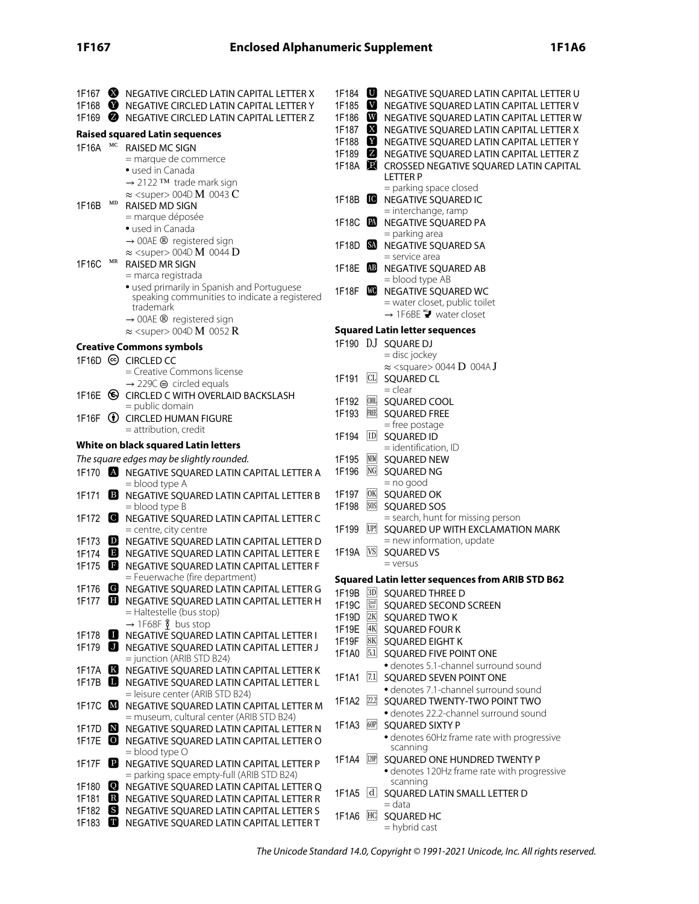|                      |                        | 1F167 W NEGATIVE CIRCLED LATIN CAPITAL LETTER X                                             |                         |             | 1F184 <b>U</b> NEGATIVE SQUARED LATIN CAPITAL LETTER U          |
|----------------------|------------------------|---------------------------------------------------------------------------------------------|-------------------------|-------------|-----------------------------------------------------------------|
|                      |                        | 1F168 W NEGATIVE CIRCLED LATIN CAPITAL LETTER Y                                             | 1F185 $\blacksquare$    |             | NEGATIVE SQUARED LATIN CAPITAL LETTER V                         |
| 1F169 $\bullet$      |                        | NEGATIVE CIRCLED LATIN CAPITAL LETTER Z                                                     | 1F186 W                 |             | NEGATIVE SQUARED LATIN CAPITAL LETTER W                         |
|                      |                        | <b>Raised squared Latin sequences</b>                                                       | 1F187 $\mathbf X$       |             | NEGATIVE SQUARED LATIN CAPITAL LETTER X                         |
| 1F16A                | МC                     | RAISED MC SIGN                                                                              | 1F188                   |             | NEGATIVE SQUARED LATIN CAPITAL LETTER Y                         |
|                      |                        | = marque de commerce                                                                        |                         |             | 1F189 <b>2</b> NEGATIVE SQUARED LATIN CAPITAL LETTER Z          |
|                      |                        | • used in Canada                                                                            | 1F18A $\mathbb{R}$      |             | CROSSED NEGATIVE SQUARED LATIN CAPITAL                          |
|                      |                        | → 2122 TM trade mark sign                                                                   |                         |             | <b>LETTER P</b>                                                 |
|                      |                        | $\approx$ <super> 004D M 0043 C</super>                                                     |                         |             | = parking space closed                                          |
| 1F16B                | $\mathbf{M}\mathbf{D}$ | RAISED MD SIGN                                                                              |                         |             | 1F18B <b>C</b> NEGATIVE SQUARED IC<br>= interchange, ramp       |
|                      |                        | = marque déposée                                                                            | 1F18C $\blacksquare$    |             | NEGATIVE SQUARED PA                                             |
|                      |                        | · used in Canada                                                                            |                         |             | = parking area                                                  |
|                      |                        | $\rightarrow$ 00AE ® registered sign                                                        |                         |             | 1F18D <b>SO</b> NEGATIVE SQUARED SA                             |
|                      |                        | $\approx$ <super> 004D M 0044 D</super>                                                     |                         |             | $=$ service area                                                |
| 1F16C                | $\operatorname{MR}$    | <b>RAISED MR SIGN</b>                                                                       | $1F18E$ $AB$            |             | NEGATIVE SQUARED AB                                             |
|                      |                        | = marca registrada                                                                          |                         |             | $=$ blood type AB                                               |
|                      |                        | · used primarily in Spanish and Portuguese<br>speaking communities to indicate a registered | 1F18F $\blacksquare$    |             | NEGATIVE SQUARED WC                                             |
|                      |                        | trademark                                                                                   |                         |             | = water closet, public toilet                                   |
|                      |                        | $\rightarrow$ 00AE ® registered sign                                                        |                         |             | $\rightarrow$ 1F6BE $\Psi$ water closet                         |
|                      |                        | $\approx$ <super> 004D M 0052 R</super>                                                     |                         |             | <b>Squared Latin letter sequences</b>                           |
|                      |                        | <b>Creative Commons symbols</b>                                                             |                         |             | 1F190 DJ SQUARE DJ                                              |
|                      |                        | 1F16D © CIRCLED CC                                                                          |                         |             | = disc jockey                                                   |
|                      |                        | = Creative Commons license                                                                  |                         |             | $\approx$ <square> 0044 D 004A J</square>                       |
|                      |                        | $\rightarrow$ 229C $\oplus$ circled equals                                                  | 1F191                   |             | CL SQUARED CL                                                   |
|                      |                        | 1F16E G CIRCLED C WITH OVERLAID BACKSLASH                                                   |                         |             | $=$ clear                                                       |
|                      |                        | = public domain                                                                             | 1F192                   |             | <b>000L SQUARED COOL</b>                                        |
|                      |                        | 1F16F <b>D</b> CIRCLED HUMAN FIGURE                                                         | 1F193                   | <b>FREE</b> | <b>SQUARED FREE</b><br>= free postage                           |
|                      |                        | = attribution, credit                                                                       | 1F194                   |             | <b>ID SQUARED ID</b>                                            |
|                      |                        | White on black squared Latin letters                                                        |                         |             | $=$ identification, ID                                          |
|                      |                        | The square edges may be slightly rounded.                                                   | 1F195                   | NEW         | <b>SQUARED NEW</b>                                              |
|                      |                        | 1F170 <b>A</b> NEGATIVE SQUARED LATIN CAPITAL LETTER A                                      | 1F196                   | $N$ G       | SQUARED NG                                                      |
|                      |                        | $=$ blood type A                                                                            |                         |             | $=$ no good                                                     |
| 1F171                | $\mathbf{B}$           | NEGATIVE SQUARED LATIN CAPITAL LETTER B                                                     | 1F197                   | 0K          | <b>SQUARED OK</b>                                               |
|                      |                        | $=$ blood type $\beta$                                                                      | 1F198                   | SOS         | <b>SQUARED SOS</b>                                              |
|                      |                        | 1F172 C NEGATIVE SQUARED LATIN CAPITAL LETTER C                                             |                         | UP!         | = search, hunt for missing person                               |
|                      |                        | = centre, city centre<br>1F173 D NEGATIVE SQUARED LATIN CAPITAL LETTER D                    | 1F199                   |             | SQUARED UP WITH EXCLAMATION MARK<br>$=$ new information, update |
|                      |                        | 1F174 B NEGATIVE SQUARED LATIN CAPITAL LETTER E                                             |                         |             | 1F19A VS SQUARED VS                                             |
|                      |                        | 1F175 B NEGATIVE SQUARED LATIN CAPITAL LETTER F                                             |                         |             | $=$ versus                                                      |
|                      |                        | = Feuerwache (fire department)                                                              |                         |             | <b>Squared Latin letter sequences from ARIB STD B62</b>         |
| 1F176                |                        | G NEGATIVE SQUARED LATIN CAPITAL LETTER G                                                   |                         |             | 1F19B 3D SQUARED THREE D                                        |
|                      |                        | 1F177 B NEGATIVE SQUARED LATIN CAPITAL LETTER H                                             | 1F19C $\frac{2nd}{Scr}$ |             | SQUARED SECOND SCREEN                                           |
|                      |                        | = Haltestelle (bus stop)                                                                    | 1F19D $2K$              |             | SQUARED TWO K                                                   |
|                      |                        | $\rightarrow$ 1F68F $\frac{8}{1}$ bus stop                                                  | 1F19E $4K$              |             | <b>SQUARED FOUR K</b>                                           |
| 1F178                |                        | NEGATIVE SQUARED LATIN CAPITAL LETTER I                                                     | 1F19F 8K                |             | SQUARED EIGHT K                                                 |
|                      |                        | 1F179 <b>U</b> NEGATIVE SQUARED LATIN CAPITAL LETTER J                                      | 1F1A0 5.1               |             | SQUARED FIVE POINT ONE                                          |
|                      |                        | $=$ junction (ARIB STD B24)                                                                 |                         |             | · denotes 5.1-channel surround sound                            |
|                      |                        | 1F17A <b>K</b> NEGATIVE SQUARED LATIN CAPITAL LETTER K                                      |                         |             | 1F1A1 7.1 SQUARED SEVEN POINT ONE                               |
|                      |                        | 1F17B <b>B</b> NEGATIVE SQUARED LATIN CAPITAL LETTER L<br>= leisure center (ARIB STD B24)   |                         |             | · denotes 7.1-channel surround sound                            |
| 1F17C $\blacksquare$ |                        | NEGATIVE SQUARED LATIN CAPITAL LETTER M                                                     | 1F1A2 22.2              |             | SQUARED TWENTY-TWO POINT TWO                                    |
|                      |                        | = museum, cultural center (ARIB STD B24)                                                    |                         |             | · denotes 22.2-channel surround sound                           |
|                      |                        | 1F17D <b>N</b> NEGATIVE SQUARED LATIN CAPITAL LETTER N                                      | 1F1A3 60P               |             | <b>SQUARED SIXTY P</b>                                          |
| $1F17E$ $\bullet$    |                        | NEGATIVE SQUARED LATIN CAPITAL LETTER O                                                     |                         |             | • denotes 60Hz frame rate with progressive                      |
|                      |                        | $=$ blood type O                                                                            |                         |             | scanning                                                        |
| 1F17F                | $\mathbf{P}$           | NEGATIVE SQUARED LATIN CAPITAL LETTER P                                                     | 1F1A4 20P               |             | SQUARED ONE HUNDRED TWENTY P                                    |
|                      |                        | = parking space empty-full (ARIB STD B24)                                                   |                         |             | · denotes 120Hz frame rate with progressive<br>scanning         |
| 1F180                | Q                      | NEGATIVE SQUARED LATIN CAPITAL LETTER Q                                                     |                         |             | 1F1A5 d SQUARED LATIN SMALL LETTER D                            |
|                      |                        | 1F181 R NEGATIVE SQUARED LATIN CAPITAL LETTER R                                             |                         |             | $=$ data                                                        |
| 1F182 $\bullet$      |                        | NEGATIVE SQUARED LATIN CAPITAL LETTER S                                                     | 1F1A6 HC                |             | <b>SQUARED HC</b>                                               |
| 1F183                |                        | NEGATIVE SQUARED LATIN CAPITAL LETTER T                                                     |                         |             | = hybrid cast                                                   |